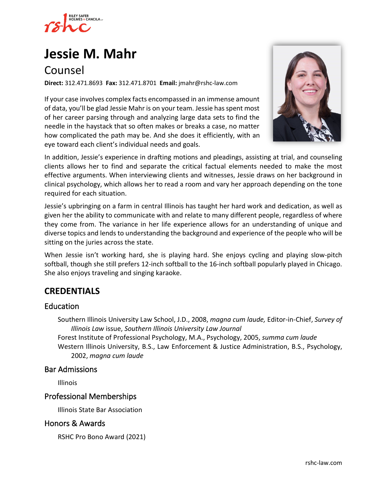

# **[Jessie M. Mahr](https://www.rshc-law.com/attorneys/attorney/jessie-m.-mahr)**

# Counsel

**Direct:** 312.471.8693 **Fax:** 312.471.8701 **Email:** jmahr@rshc-law.com

If your case involves complex facts encompassed in an immense amount of data, you'll be glad Jessie Mahr is on your team. Jessie has spent most of her career parsing through and analyzing large data sets to find the needle in the haystack that so often makes or breaks a case, no matter how complicated the path may be. And she does it efficiently, with an eye toward each client's individual needs and goals.



In addition, Jessie's experience in drafting motions and pleadings, assisting at trial, and counseling clients allows her to find and separate the critical factual elements needed to make the most effective arguments. When interviewing clients and witnesses, Jessie draws on her background in clinical psychology, which allows her to read a room and vary her approach depending on the tone required for each situation.

Jessie's upbringing on a farm in central Illinois has taught her hard work and dedication, as well as given her the ability to communicate with and relate to many different people, regardless of where they come from. The variance in her life experience allows for an understanding of unique and diverse topics and lends to understanding the background and experience of the people who will be sitting on the juries across the state.

When Jessie isn't working hard, she is playing hard. She enjoys cycling and playing slow-pitch softball, though she still prefers 12-inch softball to the 16-inch softball popularly played in Chicago. She also enjoys traveling and singing karaoke.

### **CREDENTIALS**

#### Education

Southern Illinois University Law School, J.D., 2008, *magna cum laude,* Editor-in-Chief, *Survey of Illinois Law* issue, *Southern Illinois University Law Journal*

Forest Institute of Professional Psychology, M.A., Psychology, 2005, *summa cum laude* Western Illinois University, B.S., Law Enforcement & Justice Administration, B.S., Psychology, 2002, *magna cum laude*

#### Bar Admissions

Illinois

#### Professional Memberships

Illinois State Bar Association

#### Honors & Awards

RSHC Pro Bono Award (2021)